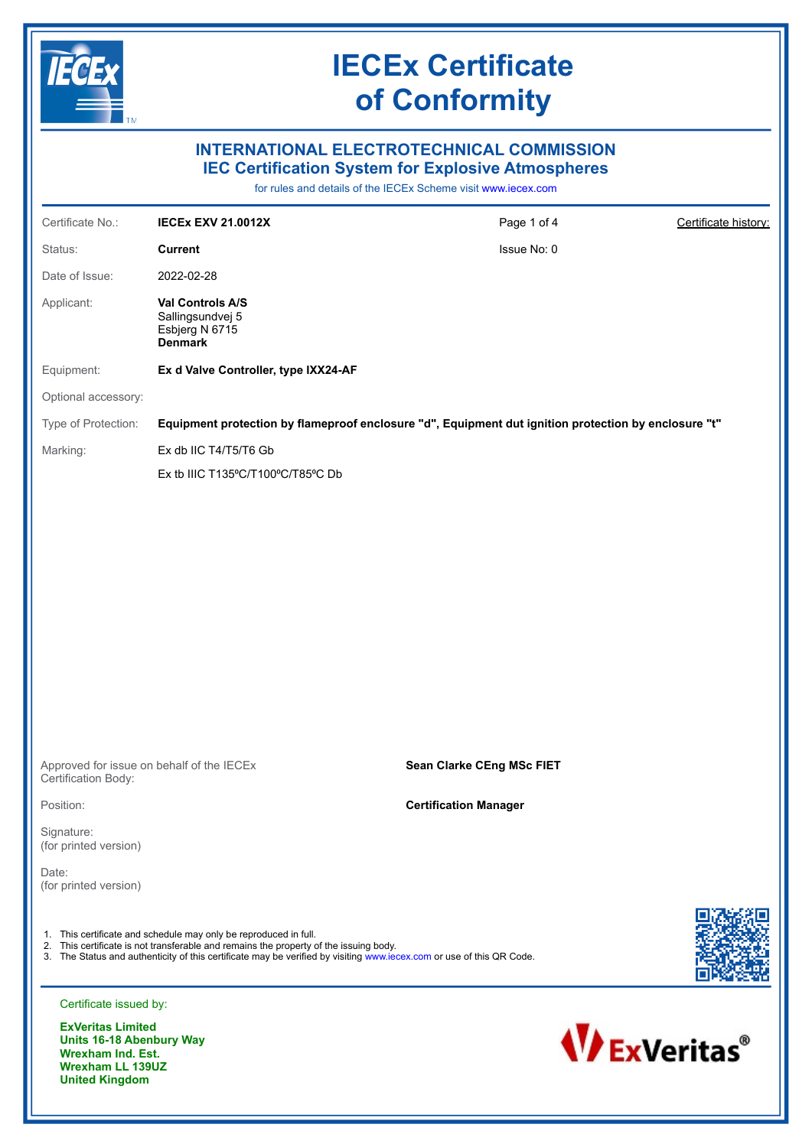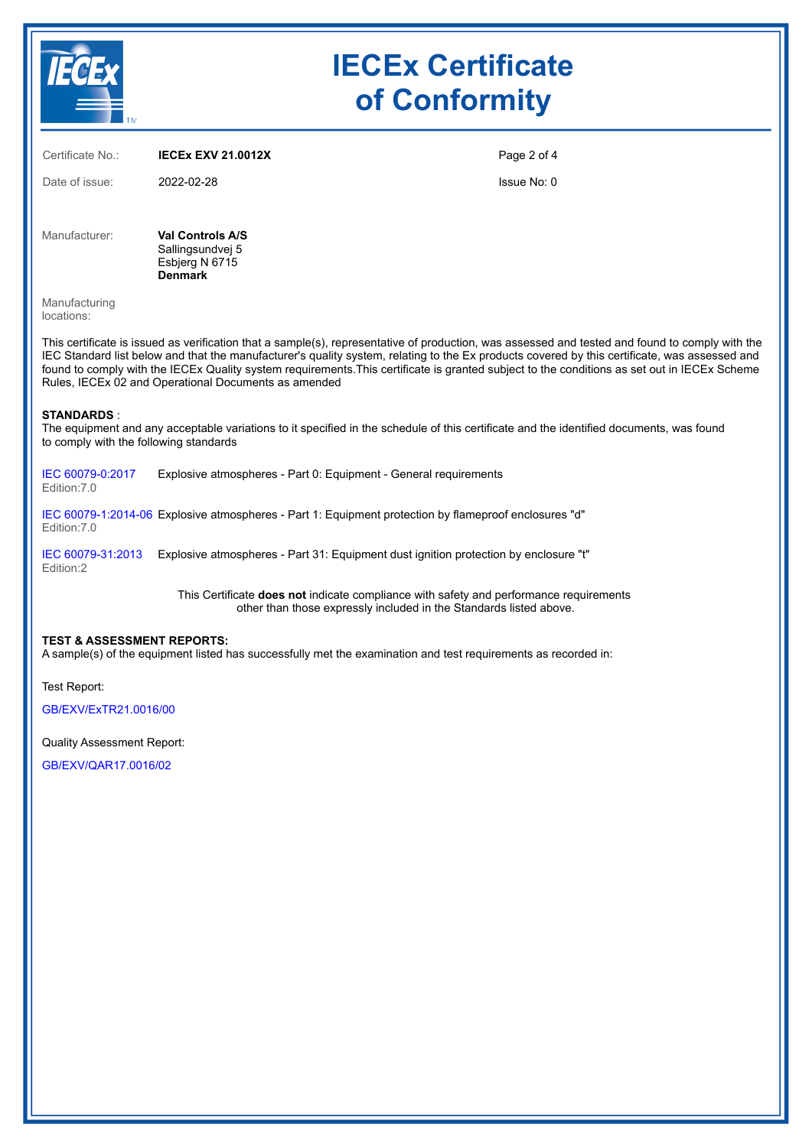| <b>TM</b>                                                                                                                                     | <b>IECEx Certificate</b><br>of Conformity                                       |  |             |  |  |
|-----------------------------------------------------------------------------------------------------------------------------------------------|---------------------------------------------------------------------------------|--|-------------|--|--|
| Certificate No.:                                                                                                                              | <b>IECEX EXV 21.0012X</b>                                                       |  | Page 2 of 4 |  |  |
| Date of issue:                                                                                                                                | 2022-02-28                                                                      |  | Issue No: 0 |  |  |
| Manufacturer:                                                                                                                                 | <b>Val Controls A/S</b><br>Sallingsundvej 5<br>Esbjerg N 6715<br><b>Denmark</b> |  |             |  |  |
| Manufacturing<br>locations:                                                                                                                   |                                                                                 |  |             |  |  |
| This certificate is issued as verification that a sample(s) representative of production was assessed and tested and found to comply with the |                                                                                 |  |             |  |  |

This certificate is issued as verification that a sample(s), representative of production, was assessed and tested and found to comply with the IEC Standard list below and that the manufacturer's quality system, relating to the Ex products covered by this certificate, was assessed and found to comply with the IECEx Quality system requirements.This certificate is granted subject to the conditions as set out in IECEx Scheme Rules, IECEx 02 and Operational Documents as amended

#### **STANDARDS** :

The equipment and any acceptable variations to it specified in the schedule of this certificate and the identified documents, was found to comply with the following standards

[IEC 60079-0:2017](https://webstore.iec.ch/publication/32878)  Edition:7.0 Explosive atmospheres - Part 0: Equipment - General requirements

[IEC 60079-1:2014-06](https://webstore.iec.ch/publication/621)  Explosive atmospheres - Part 1: Equipment protection by flameproof enclosures "d" Edition:7.0

[IEC 60079-31:2013](https://webstore.iec.ch/publication/650)  Explosive atmospheres - Part 31: Equipment dust ignition protection by enclosure "t" Edition:2

> This Certificate **does not** indicate compliance with safety and performance requirements other than those expressly included in the Standards listed above.

#### **TEST & ASSESSMENT REPORTS:**

A sample(s) of the equipment listed has successfully met the examination and test requirements as recorded in:

Test Report:

[GB/EXV/ExTR21.0016/00](https://www.iecex-certs.com/#/deliverables/REPORT/71365/view)

Quality Assessment Report:

[GB/EXV/QAR17.0016/02](https://www.iecex-certs.com/#/deliverables/REPORT/66567/view)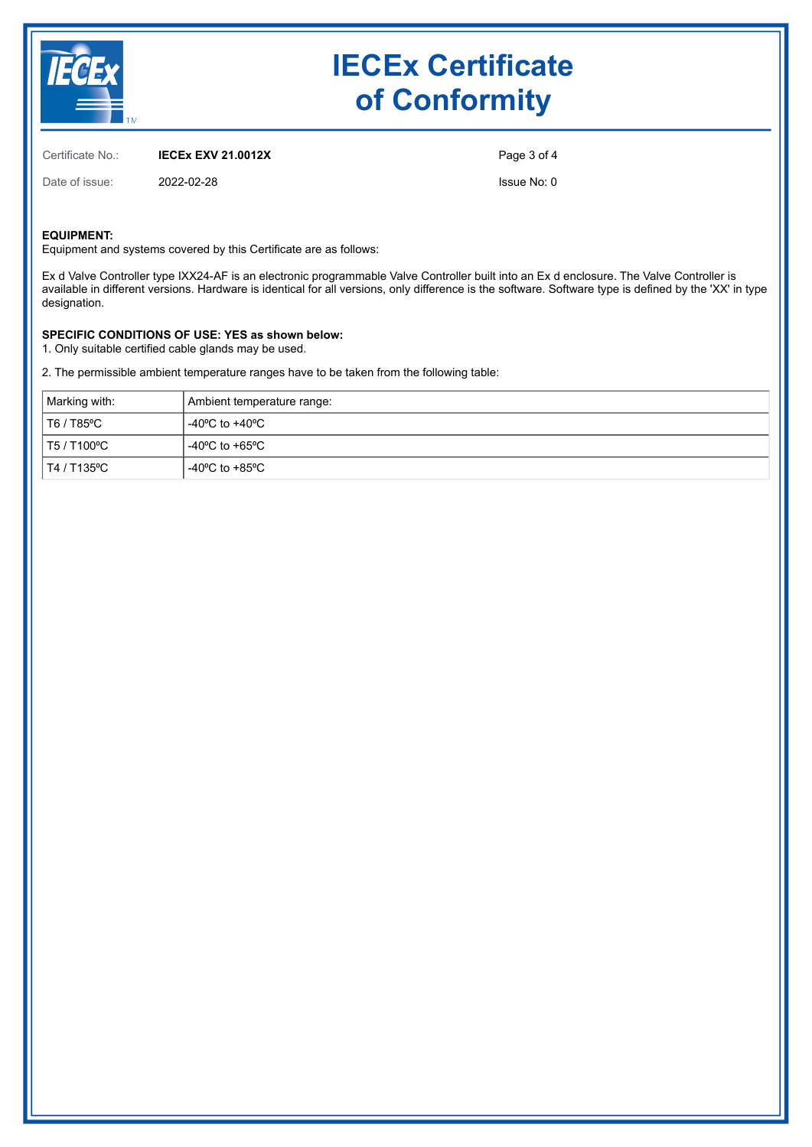

# **IECEx Certificate of Conformity**

Certificate No.: **IECEx EXV 21.0012X**

Date of issue: 2022-02-28

Page 3 of 4

Issue No: 0

### **EQUIPMENT:**

Equipment and systems covered by this Certificate are as follows:

Ex d Valve Controller type IXX24-AF is an electronic programmable Valve Controller built into an Ex d enclosure. The Valve Controller is available in different versions. Hardware is identical for all versions, only difference is the software. Software type is defined by the 'XX' in type designation.

## **SPECIFIC CONDITIONS OF USE: YES as shown below:**

1. Only suitable certified cable glands may be used.

2. The permissible ambient temperature ranges have to be taken from the following table:

| Marking with:      | Ambient temperature range: |  |
|--------------------|----------------------------|--|
| T6 / T85ºC         | l -40ºC to +40ºC .         |  |
| $\pm$ T5 / T100 °C | -40°C to +65°C             |  |
| T4 / T135ºC        | -40°C to +85°C             |  |